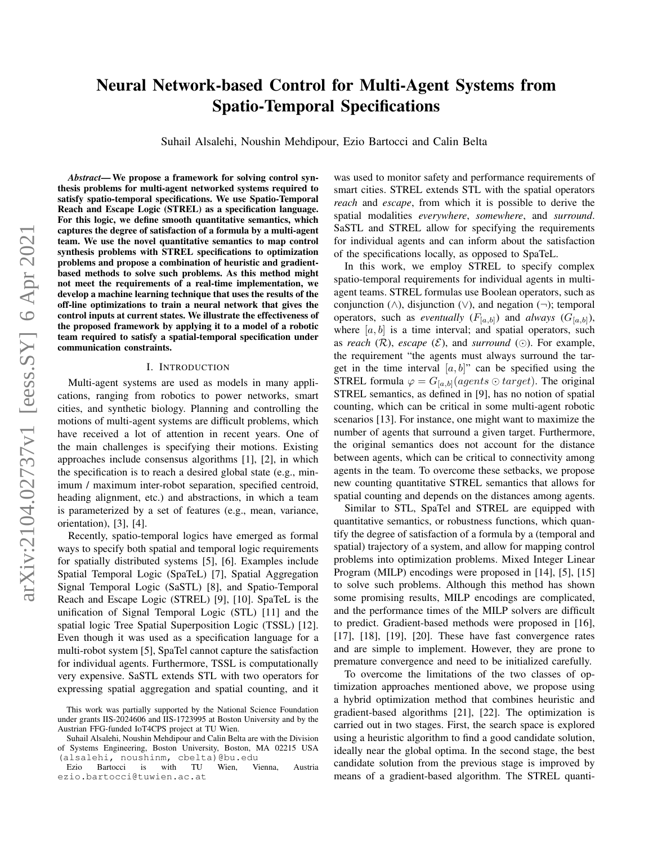# Neural Network-based Control for Multi-Agent Systems from Spatio-Temporal Specifications

Suhail Alsalehi, Noushin Mehdipour, Ezio Bartocci and Calin Belta

*Abstract*— We propose a framework for solving control synthesis problems for multi-agent networked systems required to satisfy spatio-temporal specifications. We use Spatio-Temporal Reach and Escape Logic (STREL) as a specification language. For this logic, we define smooth quantitative semantics, which captures the degree of satisfaction of a formula by a multi-agent team. We use the novel quantitative semantics to map control synthesis problems with STREL specifications to optimization problems and propose a combination of heuristic and gradientbased methods to solve such problems. As this method might not meet the requirements of a real-time implementation, we develop a machine learning technique that uses the results of the off-line optimizations to train a neural network that gives the control inputs at current states. We illustrate the effectiveness of the proposed framework by applying it to a model of a robotic team required to satisfy a spatial-temporal specification under communication constraints.

## I. INTRODUCTION

Multi-agent systems are used as models in many applications, ranging from robotics to power networks, smart cities, and synthetic biology. Planning and controlling the motions of multi-agent systems are difficult problems, which have received a lot of attention in recent years. One of the main challenges is specifying their motions. Existing approaches include consensus algorithms [1], [2], in which the specification is to reach a desired global state (e.g., minimum / maximum inter-robot separation, specified centroid, heading alignment, etc.) and abstractions, in which a team is parameterized by a set of features (e.g., mean, variance, orientation), [3], [4].

Recently, spatio-temporal logics have emerged as formal ways to specify both spatial and temporal logic requirements for spatially distributed systems [5], [6]. Examples include Spatial Temporal Logic (SpaTeL) [7], Spatial Aggregation Signal Temporal Logic (SaSTL) [8], and Spatio-Temporal Reach and Escape Logic (STREL) [9], [10]. SpaTeL is the unification of Signal Temporal Logic (STL) [11] and the spatial logic Tree Spatial Superposition Logic (TSSL) [12]. Even though it was used as a specification language for a multi-robot system [5], SpaTel cannot capture the satisfaction for individual agents. Furthermore, TSSL is computationally very expensive. SaSTL extends STL with two operators for expressing spatial aggregation and spatial counting, and it was used to monitor safety and performance requirements of smart cities. STREL extends STL with the spatial operators *reach* and *escape*, from which it is possible to derive the spatial modalities *everywhere*, *somewhere*, and *surround*. SaSTL and STREL allow for specifying the requirements for individual agents and can inform about the satisfaction of the specifications locally, as opposed to SpaTeL.

In this work, we employ STREL to specify complex spatio-temporal requirements for individual agents in multiagent teams. STREL formulas use Boolean operators, such as conjunction  $(∧),$  disjunction  $(∨),$  and negation  $(¬);$  temporal operators, such as *eventually*  $(F_{[a,b]})$  and *always*  $(G_{[a,b]})$ , where  $[a, b]$  is a time interval; and spatial operators, such as *reach*  $(\mathcal{R})$ , *escape*  $(\mathcal{E})$ , and *surround*  $(\odot)$ . For example, the requirement "the agents must always surround the target in the time interval  $[a, b]$ " can be specified using the STREL formula  $\varphi = G_{[a,b]}(agents \odot target)$ . The original STREL semantics, as defined in [9], has no notion of spatial counting, which can be critical in some multi-agent robotic scenarios [13]. For instance, one might want to maximize the number of agents that surround a given target. Furthermore, the original semantics does not account for the distance between agents, which can be critical to connectivity among agents in the team. To overcome these setbacks, we propose new counting quantitative STREL semantics that allows for spatial counting and depends on the distances among agents.

Similar to STL, SpaTel and STREL are equipped with quantitative semantics, or robustness functions, which quantify the degree of satisfaction of a formula by a (temporal and spatial) trajectory of a system, and allow for mapping control problems into optimization problems. Mixed Integer Linear Program (MILP) encodings were proposed in [14], [5], [15] to solve such problems. Although this method has shown some promising results, MILP encodings are complicated, and the performance times of the MILP solvers are difficult to predict. Gradient-based methods were proposed in [16], [17], [18], [19], [20]. These have fast convergence rates and are simple to implement. However, they are prone to premature convergence and need to be initialized carefully.

To overcome the limitations of the two classes of optimization approaches mentioned above, we propose using a hybrid optimization method that combines heuristic and gradient-based algorithms [21], [22]. The optimization is carried out in two stages. First, the search space is explored using a heuristic algorithm to find a good candidate solution, ideally near the global optima. In the second stage, the best candidate solution from the previous stage is improved by means of a gradient-based algorithm. The STREL quanti-

This work was partially supported by the National Science Foundation under grants IIS-2024606 and IIS-1723995 at Boston University and by the Austrian FFG-funded IoT4CPS project at TU Wien.

Suhail Alsalehi, Noushin Mehdipour and Calin Belta are with the Division of Systems Engineering, Boston University, Boston, MA 02215 USA (alsalehi, noushinm, cbelta)@bu.edu

Ezio Bartocci is with TU Wien, Vienna, Austria ezio.bartocci@tuwien.ac.at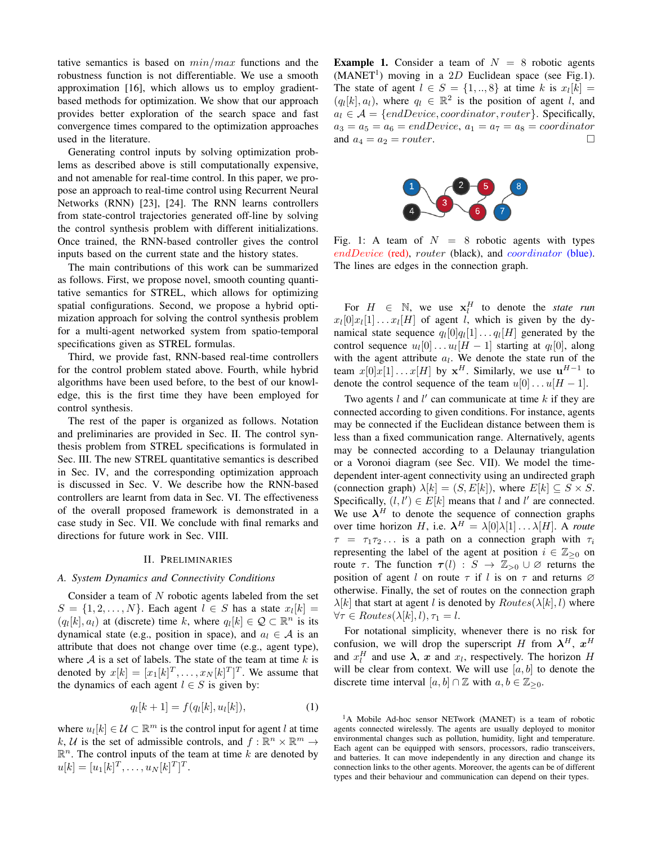tative semantics is based on  $min/max$  functions and the robustness function is not differentiable. We use a smooth approximation [16], which allows us to employ gradientbased methods for optimization. We show that our approach provides better exploration of the search space and fast convergence times compared to the optimization approaches used in the literature.

Generating control inputs by solving optimization problems as described above is still computationally expensive, and not amenable for real-time control. In this paper, we propose an approach to real-time control using Recurrent Neural Networks (RNN) [23], [24]. The RNN learns controllers from state-control trajectories generated off-line by solving the control synthesis problem with different initializations. Once trained, the RNN-based controller gives the control inputs based on the current state and the history states.

The main contributions of this work can be summarized as follows. First, we propose novel, smooth counting quantitative semantics for STREL, which allows for optimizing spatial configurations. Second, we propose a hybrid optimization approach for solving the control synthesis problem for a multi-agent networked system from spatio-temporal specifications given as STREL formulas.

Third, we provide fast, RNN-based real-time controllers for the control problem stated above. Fourth, while hybrid algorithms have been used before, to the best of our knowledge, this is the first time they have been employed for control synthesis.

The rest of the paper is organized as follows. Notation and preliminaries are provided in Sec. II. The control synthesis problem from STREL specifications is formulated in Sec. III. The new STREL quantitative semantics is described in Sec. IV, and the corresponding optimization approach is discussed in Sec. V. We describe how the RNN-based controllers are learnt from data in Sec. VI. The effectiveness of the overall proposed framework is demonstrated in a case study in Sec. VII. We conclude with final remarks and directions for future work in Sec. VIII.

#### II. PRELIMINARIES

## *A. System Dynamics and Connectivity Conditions*

Consider a team of  $N$  robotic agents labeled from the set  $S = \{1, 2, \ldots, N\}$ . Each agent  $l \in S$  has a state  $x_l[k] =$  $(q_l[k], a_l)$  at (discrete) time k, where  $q_l[k] \in \mathcal{Q} \subset \mathbb{R}^n$  is its dynamical state (e.g., position in space), and  $a_l \in A$  is an attribute that does not change over time (e.g., agent type), where  $A$  is a set of labels. The state of the team at time  $k$  is denoted by  $x[k] = [x_1[k]^T, \dots, x_N[k]^T]^T$ . We assume that the dynamics of each agent  $l \in S$  is given by:

$$
q_l[k+1] = f(q_l[k], u_l[k]),
$$
\n(1)

where  $u_l[k] \in \mathcal{U} \subset \mathbb{R}^m$  is the control input for agent l at time k, U is the set of admissible controls, and  $f: \mathbb{R}^n \times \mathbb{R}^m \to$  $\mathbb{R}^n$ . The control inputs of the team at time k are denoted by  $u[k] = [u_1[k]^T, \dots, u_N[k]^T]^T.$ 

**Example 1.** Consider a team of  $N = 8$  robotic agents  $(MANET<sup>1</sup>)$  moving in a 2D Euclidean space (see Fig.1). The state of agent  $l \in S = \{1, ..., 8\}$  at time k is  $x_l[k] =$  $(q_l[k], a_l)$ , where  $q_l \in \mathbb{R}^2$  is the position of agent l, and  $a_l \in \mathcal{A} = \{endDevice, coordinate, router\}$ . Specifically,  $a_3 = a_5 = a_6 = endDevice, a_1 = a_7 = a_8 = coordinator$ and  $a_4 = a_2 = router$ .



Fig. 1: A team of  $N = 8$  robotic agents with types endDevice (red), router (black), and *coordinator* (blue). The lines are edges in the connection graph.

For  $H \in \mathbb{N}$ , we use  $x_i^H$  to denote the *state run*  $x_l[0]x_l[1] \ldots x_l[H]$  of agent l, which is given by the dynamical state sequence  $q_l[0]q_l[1] \dots q_l[H]$  generated by the control sequence  $u_l[0] \dots u_l[H-1]$  starting at  $q_l[0]$ , along with the agent attribute  $a_l$ . We denote the state run of the team  $x[0]x[1] \ldots x[H]$  by  $x^H$ . Similarly, we use  $u^{H-1}$  to denote the control sequence of the team  $u[0] \dots u[H-1]$ .

Two agents  $l$  and  $l'$  can communicate at time  $k$  if they are connected according to given conditions. For instance, agents may be connected if the Euclidean distance between them is less than a fixed communication range. Alternatively, agents may be connected according to a Delaunay triangulation or a Voronoi diagram (see Sec. VII). We model the timedependent inter-agent connectivity using an undirected graph (connection graph)  $\lambda[k] = (S, E[k])$ , where  $E[k] \subseteq S \times S$ . Specifically,  $(l, l') \in E[k]$  means that l and l' are connected. We use  $\lambda^H$  to denote the sequence of connection graphs over time horizon H, i.e.  $\lambda^H = \lambda[0]\lambda[1] \dots \lambda[H]$ . A *route*  $\tau = \tau_1 \tau_2 \ldots$  is a path on a connection graph with  $\tau_i$ representing the label of the agent at position  $i \in \mathbb{Z}_{\geq 0}$  on route  $\tau$ . The function  $\tau(l) : S \to \mathbb{Z}_{>0} \cup \emptyset$  returns the position of agent l on route  $\tau$  if l is on  $\tau$  and returns  $\varnothing$ otherwise. Finally, the set of routes on the connection graph  $\lambda[k]$  that start at agent l is denoted by  $Routers(\lambda[k], l)$  where  $\forall \tau \in Routers(\lambda[k], l), \tau_1 = l.$ 

For notational simplicity, whenever there is no risk for confusion, we will drop the superscript H from  $\lambda^H$ ,  $x^H$ and  $x_l^H$  and use  $\lambda$ , x and  $x_l$ , respectively. The horizon H will be clear from context. We will use  $[a, b]$  to denote the discrete time interval  $[a, b] \cap \mathbb{Z}$  with  $a, b \in \mathbb{Z}_{\geq 0}$ .

<sup>&</sup>lt;sup>1</sup>A Mobile Ad-hoc sensor NETwork (MANET) is a team of robotic agents connected wirelessly. The agents are usually deployed to monitor environmental changes such as pollution, humidity, light and temperature. Each agent can be equipped with sensors, processors, radio transceivers, and batteries. It can move independently in any direction and change its connection links to the other agents. Moreover, the agents can be of different types and their behaviour and communication can depend on their types.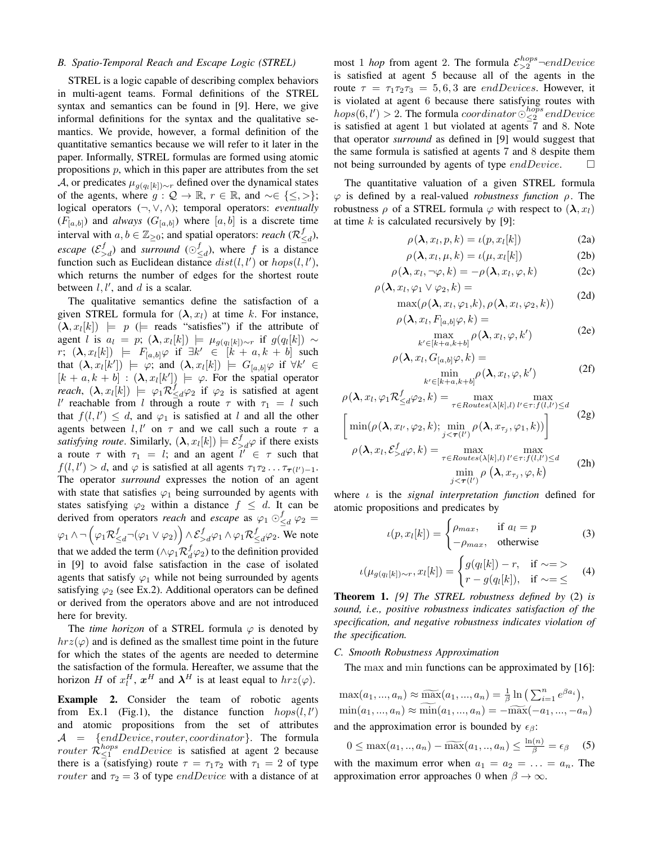# *B. Spatio-Temporal Reach and Escape Logic (STREL)*

STREL is a logic capable of describing complex behaviors in multi-agent teams. Formal definitions of the STREL syntax and semantics can be found in [9]. Here, we give informal definitions for the syntax and the qualitative semantics. We provide, however, a formal definition of the quantitative semantics because we will refer to it later in the paper. Informally, STREL formulas are formed using atomic propositions  $p$ , which in this paper are attributes from the set A, or predicates  $\mu_{g(q_l[k]) \sim r}$  defined over the dynamical states of the agents, where  $g: \mathcal{Q} \to \mathbb{R}$ ,  $r \in \mathbb{R}$ , and ~∈ { $\leq, >$ }; logical operators (¬, ∨, ∧); temporal operators: *eventually*  $(F_{[a,b]})$  and *always*  $(G_{[a,b]})$  where  $[a,b]$  is a discrete time interval with  $a, b \in \mathbb{Z}_{\geq 0}$ ; and spatial operators: *reach* ( $\mathcal{R}_{\leq d}^f$ ), *escape*  $(\mathcal{E}_{>d}^f)$  and *surround*  $(\odot_{\leq d}^f)$ , where f is a distance function such as Euclidean distance  $dist(l, l')$  or  $hops(l, l'),$ which returns the number of edges for the shortest route between  $l, l'$ , and  $d$  is a scalar.

The qualitative semantics define the satisfaction of a given STREL formula for  $(\lambda, x_l)$  at time k. For instance,  $(\lambda, x_l[k]) \models p \ (\models \text{reads 'satisfies'}) \text{ if the attribute of }$ agent *l* is  $a_l = p$ ;  $(\lambda, x_l[k]) \models \mu_{g(q_l[k]) \sim r}$  if  $g(q_l[k]) \sim$  $r: (\lambda, x_l[k]) \models F_{[a,b]} \varphi \text{ if } \exists k' \in [k + a, k + b] \text{ such}$ that  $(\lambda, x_l[k']) \models \varphi$ ; and  $(\lambda, x_l[k]) \models G_{[a,b]}\varphi$  if  $\forall k' \in$  $[k + a, k + b] : (\lambda, x_l[k']) \models \varphi$ . For the spatial operator *reach*,  $(\lambda, x_l[k]) \models \varphi_1 \mathcal{R}_{\leq d}^f \varphi_2$  if  $\varphi_2$  is satisfied at agent l' reachable from l through a route  $\tau$  with  $\tau_1 = l$  such that  $f(l, l') \leq d$ , and  $\varphi_1$  is satisfied at l and all the other agents between  $l, l'$  on  $\tau$  and we call such a route  $\tau$  a *satisfying route.* Similarly,  $(\lambda, x_l[k]) \models \mathcal{E}_{>d}^f \varphi$  if there exists a route  $\tau$  with  $\tau_1 = l$ ; and an agent  $l' \in \tau$  such that  $f(l, l') > d$ , and  $\varphi$  is satisfied at all agents  $\tau_1 \tau_2 \dots \tau_{\tau(l')-1}$ . The operator *surround* expresses the notion of an agent with state that satisfies  $\varphi_1$  being surrounded by agents with states satisfying  $\varphi_2$  within a distance  $f \leq d$ . It can be derived from operators *reach* and *escape* as  $\varphi_1 \odot_{\leq d}^f \varphi_2 =$  $\varphi_1\wedge\neg\left(\varphi_1\mathcal{R}^f_{\leq d}\neg(\varphi_1\vee\varphi_2)\right)\wedge\mathcal{E}^f_{>d}\varphi_1\wedge\varphi_1\mathcal{R}^f_{\leq d}\varphi_2.$  We note that we added the term ( $\wedge \varphi_1 \mathcal{R}_d^f \varphi_2$ ) to the definition provided in [9] to avoid false satisfaction in the case of isolated agents that satisfy  $\varphi_1$  while not being surrounded by agents satisfying  $\varphi_2$  (see Ex.2). Additional operators can be defined or derived from the operators above and are not introduced here for brevity.

The *time horizon* of a STREL formula  $\varphi$  is denoted by  $hrz(\varphi)$  and is defined as the smallest time point in the future for which the states of the agents are needed to determine the satisfaction of the formula. Hereafter, we assume that the horizon H of  $x_l^H$ ,  $x^H$  and  $\lambda^H$  is at least equal to  $hrz(\varphi)$ .

Example 2. Consider the team of robotic agents from Ex.1 (Fig.1), the distance function  $hops(l, l')$ and atomic propositions from the set of attributes  $A = \{endDevice, router, coordinator\}.$  The formula router  $\mathcal{R}^{hops}_{\leq 1}$  endDevice is satisfied at agent 2 because there is a (satisfying) route  $\tau = \tau_1 \tau_2$  with  $\tau_1 = 2$  of type *router* and  $\tau_2 = 3$  of type *endDevice* with a distance of at

most 1 *hop* from agent 2. The formula  $\mathcal{E}_{>2}^{hops}$  -endDevice is satisfied at agent 5 because all of the agents in the route  $\tau = \tau_1 \tau_2 \tau_3 = 5, 6, 3$  are *endDevices*. However, it is violated at agent 6 because there satisfying routes with  $hops(6, l') > 2$ . The formula coordinator  $\bigcirc_{\leq 2}^{hops}$  end Device is satisfied at agent 1 but violated at agents 7 and 8. Note that operator *surround* as defined in [9] would suggest that the same formula is satisfied at agents 7 and 8 despite them not being surrounded by agents of type  $endDevice$ .  $\Box$ 

The quantitative valuation of a given STREL formula ϕ is defined by a real-valued *robustness function* ρ. The robustness  $\rho$  of a STREL formula  $\varphi$  with respect to  $(\lambda, x_l)$ at time  $k$  is calculated recursively by [9]:

$$
\rho(\lambda, x_l, p, k) = \iota(p, x_l[k]) \tag{2a}
$$

$$
\rho(\lambda, x_l, \mu, k) = \iota(\mu, x_l[k]) \tag{2b}
$$

$$
\rho(\lambda, x_l, \neg \varphi, k) = -\rho(\lambda, x_l, \varphi, k) \tag{2c}
$$

$$
\rho(\lambda, x_l, \varphi_1 \vee \varphi_2, k) = \max(\rho(\lambda, x_l, \varphi_1, k), \rho(\lambda, x_l, \varphi_2, k))
$$
\n(2d)

$$
\rho(\lambda, x_l, F_{[a,b]}\varphi, k) = \max_{\substack{k' \in [k+a, k+b]}} \rho(\lambda, x_l, \varphi, k')
$$
\n(2e)

$$
\rho(\lambda, x_l, G_{[a,b]}\varphi, k) = \min_{k' \in [k+a, k+b]} \rho(\lambda, x_l, \varphi, k')
$$
\n(2f)

$$
\rho(\lambda, x_l, \varphi_1 \mathcal{R}_{\leq d}^f \varphi_2, k) = \max_{\tau \in Routers(\lambda[k], l)} \max_{l' \in \tau: f(l, l') \leq d} \quad (2g)
$$

$$
\left[ \min(\rho(\lambda, x_{l'}, \varphi_2, k); \min_{j < \tau(l')} \rho(\lambda, x_{\tau_j}, \varphi_1, k)) \right]
$$

$$
\rho(\lambda, x_l, \mathcal{E}_{>d}^f \varphi, k) = \max_{\tau \in Routers(\lambda[k], l)} \max_{l' \in \tau: f(l, l') \leq d} \quad (2h)
$$

$$
\min_{j < \tau(l')} \rho(\lambda, x_{\tau_j}, \varphi, k)
$$

where ι is the *signal interpretation function* defined for atomic propositions and predicates by

$$
\iota(p, x_l[k]) = \begin{cases} \rho_{max}, & \text{if } a_l = p \\ -\rho_{max}, & \text{otherwise} \end{cases}
$$
 (3)

$$
\iota(\mu_{g(q_l[k])\sim r}, x_l[k]) = \begin{cases} g(q_l[k]) - r, & \text{if } \sim = > \\ r - g(q_l[k]), & \text{if } \sim = \leq \end{cases}
$$
 (4)

Theorem 1. *[9] The STREL robustness defined by* (2) *is sound, i.e., positive robustness indicates satisfaction of the specification, and negative robustness indicates violation of the specification.*

#### *C. Smooth Robustness Approximation*

The max and min functions can be approximated by [16]:

$$
\max(a_1, ..., a_n) \approx \widetilde{\max}(a_1, ..., a_n) = \frac{1}{\beta} \ln \left( \sum_{i=1}^n e^{\beta a_i} \right),
$$
  
\n
$$
\min(a_1, ..., a_n) \approx \min(a_1, ..., a_n) = -\widetilde{\max}(-a_1, ..., -a_n)
$$
  
\nand the approximation error is bounded by  $\epsilon_{\beta}$ :

$$
0 \le \max(a_1, ..., a_n) - \widetilde{\max}(a_1, ..., a_n) \le \frac{\ln(n)}{\beta} = \epsilon_\beta \quad (5)
$$
  
with the maximum error when  $a_1 = a_2 = ... = a_n$ . The

approximation error approaches 0 when  $\beta \to \infty$ .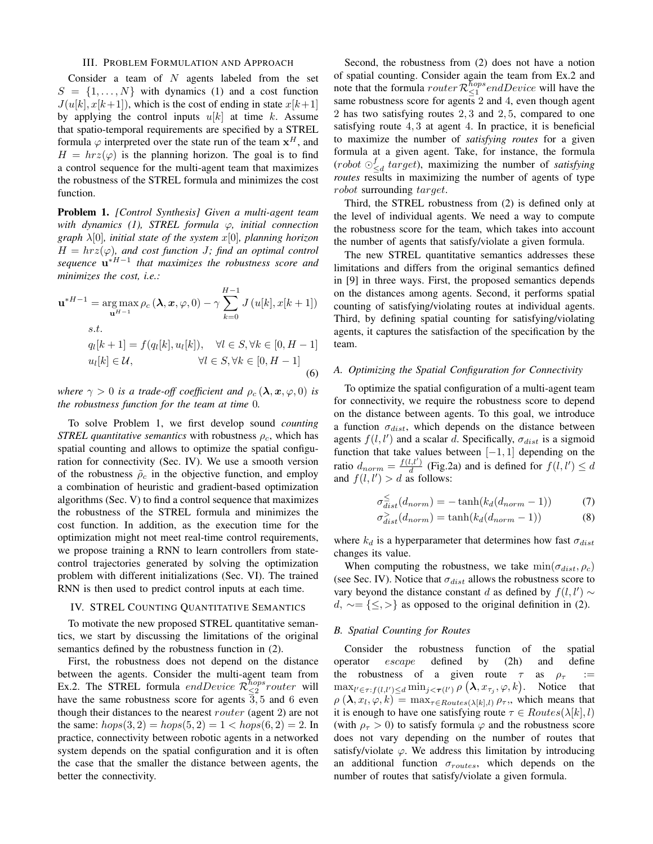## III. PROBLEM FORMULATION AND APPROACH

Consider a team of  $N$  agents labeled from the set  $S = \{1, \ldots, N\}$  with dynamics (1) and a cost function  $J(u[k], x[k+1])$ , which is the cost of ending in state  $x[k+1]$ by applying the control inputs  $u[k]$  at time k. Assume that spatio-temporal requirements are specified by a STREL formula  $\varphi$  interpreted over the state run of the team  $x^H$ , and  $H = hrz(\varphi)$  is the planning horizon. The goal is to find a control sequence for the multi-agent team that maximizes the robustness of the STREL formula and minimizes the cost function.

Problem 1. *[Control Synthesis] Given a multi-agent team with dynamics (1), STREL formula* ϕ*, initial connection graph* λ[0]*, initial state of the system* x[0]*, planning horizon*  $H = hrz(\varphi)$ , and cost function *J*; find an optimal control *sequence* u ∗H−1 *that maximizes the robustness score and minimizes the cost, i.e.:*

$$
\mathbf{u}^{*H-1} = \underset{\mathbf{u}^{H-1}}{\arg \max} \rho_c(\mathbf{\lambda}, \mathbf{x}, \varphi, 0) - \gamma \sum_{k=0}^{H-1} J(u[k], x[k+1])
$$
  
s.t.  

$$
q_l[k+1] = f(q_l[k], u_l[k]), \quad \forall l \in S, \forall k \in [0, H-1]
$$

$$
u_l[k] \in \mathcal{U}, \qquad \forall l \in S, \forall k \in [0, H-1]
$$
(6)

*where*  $\gamma > 0$  *is a trade-off coefficient and*  $\rho_c(\lambda, x, \varphi, 0)$  *is the robustness function for the team at time* 0*.*

To solve Problem 1, we first develop sound *counting STREL quantitative semantics* with robustness  $\rho_c$ , which has spatial counting and allows to optimize the spatial configuration for connectivity (Sec. IV). We use a smooth version of the robustness  $\rho_c$  in the objective function, and employ a combination of heuristic and gradient-based optimization algorithms (Sec. V) to find a control sequence that maximizes the robustness of the STREL formula and minimizes the cost function. In addition, as the execution time for the optimization might not meet real-time control requirements, we propose training a RNN to learn controllers from statecontrol trajectories generated by solving the optimization problem with different initializations (Sec. VI). The trained RNN is then used to predict control inputs at each time.

#### IV. STREL COUNTING QUANTITATIVE SEMANTICS

To motivate the new proposed STREL quantitative semantics, we start by discussing the limitations of the original semantics defined by the robustness function in (2).

First, the robustness does not depend on the distance between the agents. Consider the multi-agent team from Ex.2. The STREL formula *endDevice*  $\mathcal{R}^{hops}_{\leq 2}$  *router* will have the same robustness score for agents  $\overline{3}$ , 5 and 6 even though their distances to the nearest router (agent 2) are not the same:  $hops(3, 2) = hops(5, 2) = 1 < hops(6, 2) = 2$ . In practice, connectivity between robotic agents in a networked system depends on the spatial configuration and it is often the case that the smaller the distance between agents, the better the connectivity.

Second, the robustness from (2) does not have a notion of spatial counting. Consider again the team from Ex.2 and note that the formula *router*  $\mathcal{R}^{hops}_{\leq 1}$  *endDevice* will have the same robustness score for agents 2 and 4, even though agent 2 has two satisfying routes 2, 3 and 2, 5, compared to one satisfying route 4, 3 at agent 4. In practice, it is beneficial to maximize the number of *satisfying routes* for a given formula at a given agent. Take, for instance, the formula (robot  $\bigcirc_{\leq d}^f$  target), maximizing the number of *satisfying routes* results in maximizing the number of agents of type robot surrounding target.

Third, the STREL robustness from (2) is defined only at the level of individual agents. We need a way to compute the robustness score for the team, which takes into account the number of agents that satisfy/violate a given formula.

The new STREL quantitative semantics addresses these limitations and differs from the original semantics defined in [9] in three ways. First, the proposed semantics depends on the distances among agents. Second, it performs spatial counting of satisfying/violating routes at individual agents. Third, by defining spatial counting for satisfying/violating agents, it captures the satisfaction of the specification by the team.

# *A. Optimizing the Spatial Configuration for Connectivity*

To optimize the spatial configuration of a multi-agent team for connectivity, we require the robustness score to depend on the distance between agents. To this goal, we introduce a function  $\sigma_{dist}$ , which depends on the distance between agents  $f(l, l')$  and a scalar d. Specifically,  $\sigma_{dist}$  is a sigmoid function that take values between  $[-1, 1]$  depending on the ratio  $d_{norm} = \frac{f(l, l')}{d}$  $\frac{d}{d}(l, l')$  (Fig.2a) and is defined for  $f(l, l') \leq d$ and  $f(l, l') > d$  as follows:

$$
\sigma_{dist}^{\leq}(d_{norm}) = -\tanh(k_d(d_{norm} - 1))\tag{7}
$$

$$
\sigma_{dist}^>(d_{norm}) = \tanh(k_d(d_{norm} - 1))\tag{8}
$$

where  $k_d$  is a hyperparameter that determines how fast  $\sigma_{dist}$ changes its value.

When computing the robustness, we take  $\min(\sigma_{dist}, \rho_c)$ (see Sec. IV). Notice that  $\sigma_{dist}$  allows the robustness score to vary beyond the distance constant d as defined by  $f(l, l') \sim$  $d, \sim = \{ \leq, \geq \}$  as opposed to the original definition in (2).

#### *B. Spatial Counting for Routes*

Consider the robustness function of the spatial operator escape defined by (2h) and define the robustness of a given route  $\tau$  as  $\rho_{\tau}$  :=  $\max_{l' \in \tau: f(l,l') \leq d} \min_{j < \tau(l')} \rho \left( \lambda, x_{\tau_j}, \varphi, k \right)$ . Notice that  $\rho\left(\lambda, x_l, \varphi, k\right) = \max_{\tau \in Routers(\lambda[k], l)} \rho_{\tau},$ , which means that it is enough to have one satisfying route  $\tau \in Routers(\lambda[k], l)$ (with  $\rho_{\tau} > 0$ ) to satisfy formula  $\varphi$  and the robustness score does not vary depending on the number of routes that satisfy/violate  $\varphi$ . We address this limitation by introducing an additional function  $\sigma_{routers}$ , which depends on the number of routes that satisfy/violate a given formula.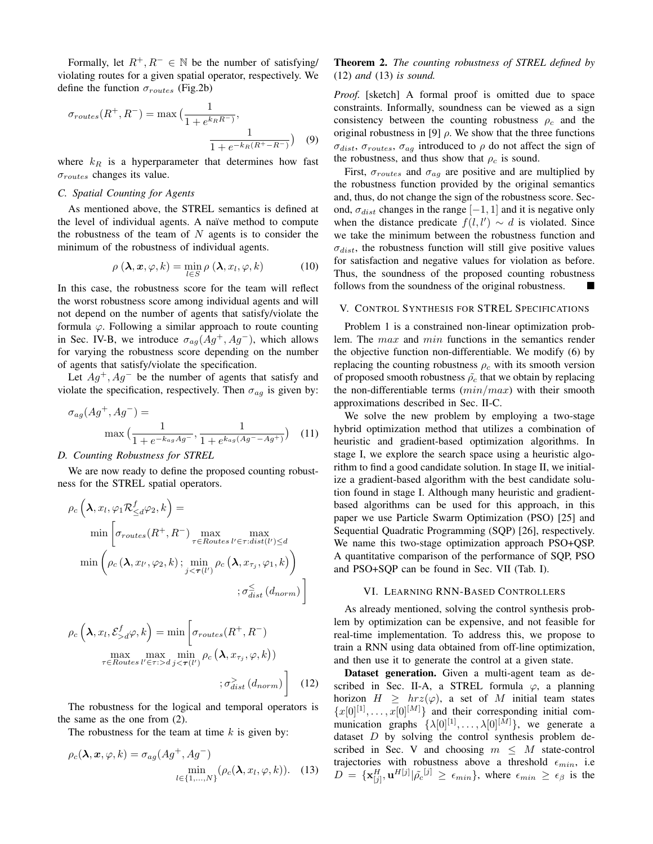Formally, let  $R^+, R^- \in \mathbb{N}$  be the number of satisfying/ violating routes for a given spatial operator, respectively. We define the function  $\sigma_{routers}$  (Fig.2b)

$$
\sigma_{routers}(R^+, R^-) = \max\left(\frac{1}{1 + e^{k_R R^-}}, \frac{1}{1 + e^{-k_R(R^+ - R^-)}}\right)
$$
(9)

where  $k_R$  is a hyperparameter that determines how fast  $\sigma_{routers}$  changes its value.

# *C. Spatial Counting for Agents*

As mentioned above, the STREL semantics is defined at the level of individual agents. A naïve method to compute the robustness of the team of  $N$  agents is to consider the minimum of the robustness of individual agents.

$$
\rho\left(\lambda, x, \varphi, k\right) = \min_{l \in S} \rho\left(\lambda, x_l, \varphi, k\right) \tag{10}
$$

In this case, the robustness score for the team will reflect the worst robustness score among individual agents and will not depend on the number of agents that satisfy/violate the formula  $\varphi$ . Following a similar approach to route counting in Sec. IV-B, we introduce  $\sigma_{ag}(Ag^+, Ag^-)$ , which allows for varying the robustness score depending on the number of agents that satisfy/violate the specification.

Let  $Ag^{+}$ ,  $Ag^{-}$  be the number of agents that satisfy and violate the specification, respectively. Then  $\sigma_{ag}$  is given by:

$$
\sigma_{ag}(Ag^+, Ag^-) = \frac{1}{1 + e^{-k_{ag}Ag^-}}, \frac{1}{1 + e^{k_{ag}(Ag^- - Ag^+)}} \quad (11)
$$

# *D. Counting Robustness for STREL*

We are now ready to define the proposed counting robustness for the STREL spatial operators.

$$
\rho_c\left(\lambda, x_l, \varphi_1 \mathcal{R}_{\leq d}^f \varphi_2, k\right) = \min\left[\sigma_{routes}(R^+, R^-) \max_{\tau \in Routs} \max_{l' \in \tau: dist(l') \leq d} \right]
$$

$$
\min\left(\rho_c\left(\lambda, x_{l'}, \varphi_2, k\right); \min_{j < \tau(l')} \rho_c\left(\lambda, x_{\tau_j}, \varphi_1, k\right)\right)
$$

$$
;\sigma_{dist}^{\leq}\left(d_{norm}\right)\right]
$$

$$
\rho_c\left(\lambda, x_l, \mathcal{E}_{>d}^f \varphi, k\right) = \min\left[\sigma_{routes}(R^+, R^-)\right]
$$

$$
\max_{\tau \in Routes} \max_{l' \in \tau : > d} \min_{j < \tau(l')} \rho_c\left(\lambda, x_{\tau_j}, \varphi, k\right))
$$

$$
;\sigma_{dist}^2\left(d_{norm}\right)\right] \tag{12}
$$

The robustness for the logical and temporal operators is the same as the one from (2).

The robustness for the team at time  $k$  is given by:

$$
\rho_c(\lambda, \mathbf{x}, \varphi, k) = \sigma_{ag}(Ag^+, Ag^-)
$$

$$
\min_{l \in \{1, ..., N\}} (\rho_c(\lambda, x_l, \varphi, k)).
$$
 (13)

# Theorem 2. *The counting robustness of STREL defined by* (12) *and* (13) *is sound.*

*Proof.* [sketch] A formal proof is omitted due to space constraints. Informally, soundness can be viewed as a sign consistency between the counting robustness  $\rho_c$  and the original robustness in [9]  $\rho$ . We show that the three functions  $\sigma_{dist}$ ,  $\sigma_{routers}$ ,  $\sigma_{ag}$  introduced to  $\rho$  do not affect the sign of the robustness, and thus show that  $\rho_c$  is sound.

First,  $\sigma_{routers}$  and  $\sigma_{ag}$  are positive and are multiplied by the robustness function provided by the original semantics and, thus, do not change the sign of the robustness score. Second,  $\sigma_{dist}$  changes in the range [−1, 1] and it is negative only when the distance predicate  $f(l, l') \sim d$  is violated. Since we take the minimum between the robustness function and  $\sigma_{dist}$ , the robustness function will still give positive values for satisfaction and negative values for violation as before. Thus, the soundness of the proposed counting robustness follows from the soundness of the original robustness.

#### V. CONTROL SYNTHESIS FOR STREL SPECIFICATIONS

Problem 1 is a constrained non-linear optimization problem. The max and min functions in the semantics render the objective function non-differentiable. We modify (6) by replacing the counting robustness  $\rho_c$  with its smooth version of proposed smooth robustness  $\rho_c$  that we obtain by replacing the non-differentiable terms  $(min/max)$  with their smooth approximations described in Sec. II-C.

We solve the new problem by employing a two-stage hybrid optimization method that utilizes a combination of heuristic and gradient-based optimization algorithms. In stage I, we explore the search space using a heuristic algorithm to find a good candidate solution. In stage II, we initialize a gradient-based algorithm with the best candidate solution found in stage I. Although many heuristic and gradientbased algorithms can be used for this approach, in this paper we use Particle Swarm Optimization (PSO) [25] and Sequential Quadratic Programming (SQP) [26], respectively. We name this two-stage optimization approach PSO+QSP. A quantitative comparison of the performance of SQP, PSO and PSO+SQP can be found in Sec. VII (Tab. I).

## VI. LEARNING RNN-BASED CONTROLLERS

As already mentioned, solving the control synthesis problem by optimization can be expensive, and not feasible for real-time implementation. To address this, we propose to train a RNN using data obtained from off-line optimization, and then use it to generate the control at a given state.

Dataset generation. Given a multi-agent team as described in Sec. II-A, a STREL formula  $\varphi$ , a planning horizon  $H \geq hrz(\varphi)$ , a set of M initial team states  ${x[0]}^{[1]}, \ldots, {x[0]}^{[M]}$  and their corresponding initial communication graphs  $\{\lambda[0]^{[1]}, \ldots, \lambda[0]^{[M]}\}$ , we generate a dataset  $D$  by solving the control synthesis problem described in Sec. V and choosing  $m \leq M$  state-control trajectories with robustness above a threshold  $\epsilon_{min}$ , i.e  $D = {\mathbf{x}_{[j]}^H, \mathbf{u}^{H[j]} | \tilde{\rho}_c^{[j]} \ge \epsilon_{min} \}, \text{ where } \epsilon_{min} \ge \epsilon_{\beta} \text{ is the}$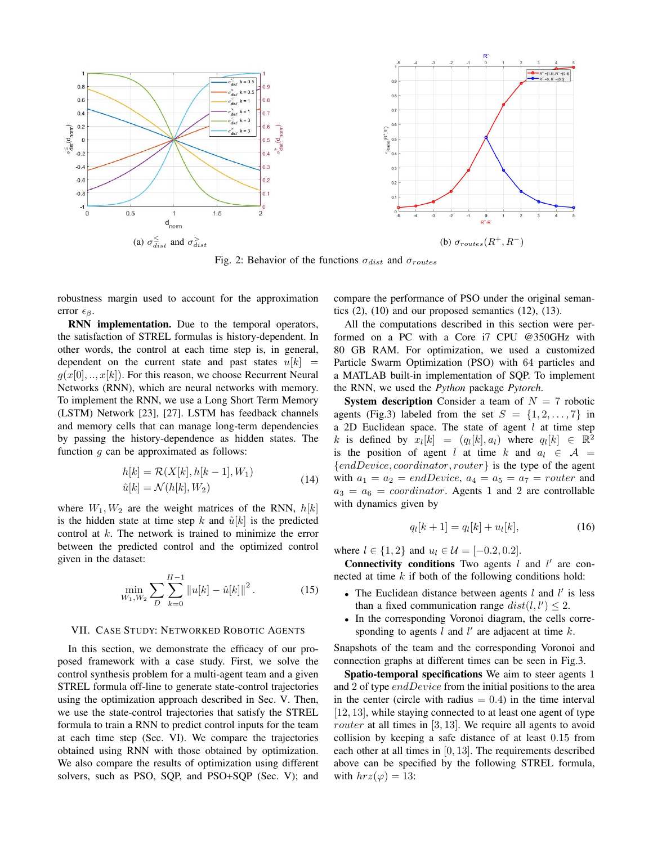

Fig. 2: Behavior of the functions  $\sigma_{dist}$  and  $\sigma_{routers}$ 

robustness margin used to account for the approximation error  $\epsilon_{\beta}$ .

RNN implementation. Due to the temporal operators, the satisfaction of STREL formulas is history-dependent. In other words, the control at each time step is, in general, dependent on the current state and past states  $u[k]$  =  $g(x[0],..,x[k])$ . For this reason, we choose Recurrent Neural Networks (RNN), which are neural networks with memory. To implement the RNN, we use a Long Short Term Memory (LSTM) Network [23], [27]. LSTM has feedback channels and memory cells that can manage long-term dependencies by passing the history-dependence as hidden states. The function  $g$  can be approximated as follows:

$$
h[k] = \mathcal{R}(X[k], h[k-1], W_1)
$$
  
\n
$$
\hat{u}[k] = \mathcal{N}(h[k], W_2)
$$
\n(14)

where  $W_1, W_2$  are the weight matrices of the RNN,  $h[k]$ is the hidden state at time step k and  $\hat{u}[k]$  is the predicted control at k. The network is trained to minimize the error between the predicted control and the optimized control given in the dataset:

$$
\min_{W_1, W_2} \sum_{D} \sum_{k=0}^{H-1} \|u[k] - \hat{u}[k]\|^2.
$$
 (15)

#### VII. CASE STUDY: NETWORKED ROBOTIC AGENTS

In this section, we demonstrate the efficacy of our proposed framework with a case study. First, we solve the control synthesis problem for a multi-agent team and a given STREL formula off-line to generate state-control trajectories using the optimization approach described in Sec. V. Then, we use the state-control trajectories that satisfy the STREL formula to train a RNN to predict control inputs for the team at each time step (Sec. VI). We compare the trajectories obtained using RNN with those obtained by optimization. We also compare the results of optimization using different solvers, such as PSO, SQP, and PSO+SQP (Sec. V); and compare the performance of PSO under the original semantics  $(2)$ ,  $(10)$  and our proposed semantics  $(12)$ ,  $(13)$ .

All the computations described in this section were performed on a PC with a Core i7 CPU @350GHz with 80 GB RAM. For optimization, we used a customized Particle Swarm Optimization (PSO) with 64 particles and a MATLAB built-in implementation of SQP. To implement the RNN, we used the *Python* package *Pytorch*.

**System description** Consider a team of  $N = 7$  robotic agents (Fig.3) labeled from the set  $S = \{1, 2, \ldots, 7\}$  in a 2D Euclidean space. The state of agent  $l$  at time step k is defined by  $x_l[k] = (q_l[k], a_l)$  where  $q_l[k] \in \mathbb{R}^2$ is the position of agent l at time k and  $a_l \in \mathcal{A}$  = {endDevice, coordinator, router} is the type of the agent with  $a_1 = a_2 = endDevice$ ,  $a_4 = a_5 = a_7 = router$  and  $a_3 = a_6 =$  *coordinator*. Agents 1 and 2 are controllable with dynamics given by

$$
q_l[k+1] = q_l[k] + u_l[k],
$$
\n(16)

where  $l \in \{1, 2\}$  and  $u_l \in \mathcal{U} = [-0.2, 0.2]$ .

**Connectivity conditions** Two agents  $l$  and  $l'$  are connected at time  $k$  if both of the following conditions hold:

- The Euclidean distance between agents  $l$  and  $l'$  is less than a fixed communication range  $dist(l, l') \leq 2$ .
- In the corresponding Voronoi diagram, the cells corresponding to agents  $l$  and  $l'$  are adjacent at time  $k$ .

Snapshots of the team and the corresponding Voronoi and connection graphs at different times can be seen in Fig.3.

Spatio-temporal specifications We aim to steer agents 1 and 2 of type endDevice from the initial positions to the area in the center (circle with radius  $= 0.4$ ) in the time interval [12, 13], while staying connected to at least one agent of type *router* at all times in  $[3, 13]$ . We require all agents to avoid collision by keeping a safe distance of at least 0.15 from each other at all times in [0, 13]. The requirements described above can be specified by the following STREL formula, with  $hrz(\varphi) = 13$ :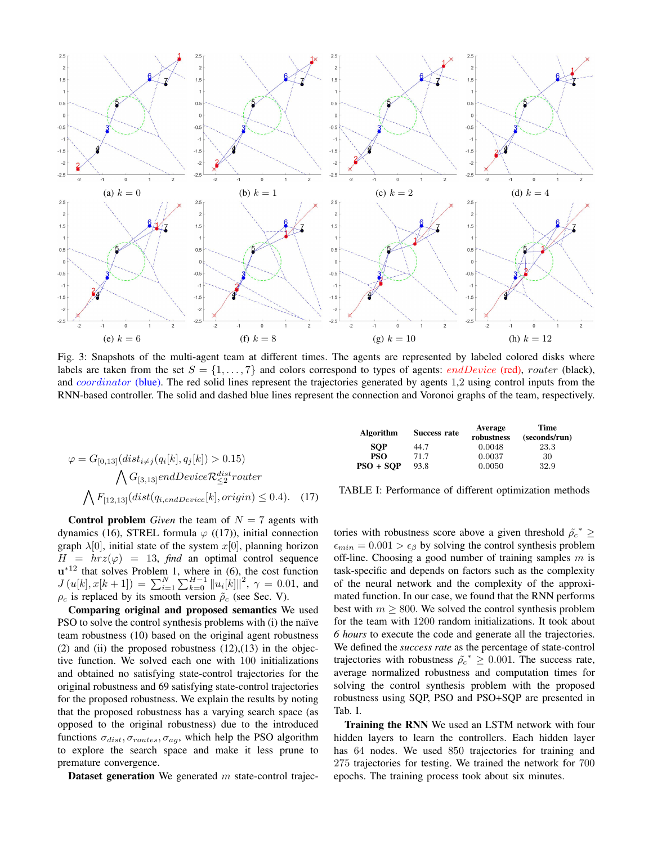

Fig. 3: Snapshots of the multi-agent team at different times. The agents are represented by labeled colored disks where labels are taken from the set  $S = \{1, \ldots, 7\}$  and colors correspond to types of agents: *endDevice* (red), *router* (black), and *coordinator* (blue). The red solid lines represent the trajectories generated by agents 1,2 using control inputs from the RNN-based controller. The solid and dashed blue lines represent the connection and Voronoi graphs of the team, respectively.

$$
\varphi = G_{[0,13]}(dist_{i \neq j}(q_i[k], q_j[k]) > 0.15)
$$

$$
\bigwedge G_{[3,13]}endDevice \mathcal{R}_{\leq 2}^{dist} router
$$

$$
\bigwedge F_{[12,13]}(dist(q_{i,endDevice}[k], origin) \leq 0.4).
$$
 (17)

**Control problem** *Given* the team of  $N = 7$  agents with dynamics (16), STREL formula  $\varphi$  ((17)), initial connection graph  $\lambda[0]$ , initial state of the system  $x[0]$ , planning horizon  $H = hrz(\varphi) = 13$ , *find* an optimal control sequence  $u^{*12}$  that solves Problem 1, where in (6), the cost function  $J(u[k], x[k+1]) = \sum_{i=1}^{N} \sum_{k=0}^{H-1} ||u_i[k]||^2$ ,  $\gamma = 0.01$ , and  $\rho_c$  is replaced by its smooth version  $\tilde{\rho}_c$  (see Sec. V).

Comparing original and proposed semantics We used PSO to solve the control synthesis problems with (i) the naïve team robustness (10) based on the original agent robustness (2) and (ii) the proposed robustness  $(12),(13)$  in the objective function. We solved each one with 100 initializations and obtained no satisfying state-control trajectories for the original robustness and 69 satisfying state-control trajectories for the proposed robustness. We explain the results by noting that the proposed robustness has a varying search space (as opposed to the original robustness) due to the introduced functions  $\sigma_{dist}, \sigma_{routers}, \sigma_{ag}$ , which help the PSO algorithm to explore the search space and make it less prune to premature convergence.

**Dataset generation** We generated  $m$  state-control trajec-

| Algorithm   | Success rate | Average<br>robustness | Time<br>(seconds/run) |
|-------------|--------------|-----------------------|-----------------------|
| <b>SOP</b>  | 44.7         | 0.0048                | 23.3                  |
| <b>PSO</b>  | 71.7         | 0.0037                | 30                    |
| $PSO + SOP$ | 93.8         | 0.0050                | 32.9                  |

TABLE I: Performance of different optimization methods

tories with robustness score above a given threshold  $\tilde{\rho}^*$  ≥  $\epsilon_{min} = 0.001 > \epsilon_{\beta}$  by solving the control synthesis problem off-line. Choosing a good number of training samples  $m$  is task-specific and depends on factors such as the complexity of the neural network and the complexity of the approximated function. In our case, we found that the RNN performs best with  $m \geq 800$ . We solved the control synthesis problem for the team with 1200 random initializations. It took about *6 hours* to execute the code and generate all the trajectories. We defined the *success rate* as the percentage of state-control trajectories with robustness  $\rho c^* \geq 0.001$ . The success rate, average normalized robustness and computation times for solving the control synthesis problem with the proposed robustness using SQP, PSO and PSO+SQP are presented in Tab. I.

Training the RNN We used an LSTM network with four hidden layers to learn the controllers. Each hidden layer has 64 nodes. We used 850 trajectories for training and 275 trajectories for testing. We trained the network for 700 epochs. The training process took about six minutes.